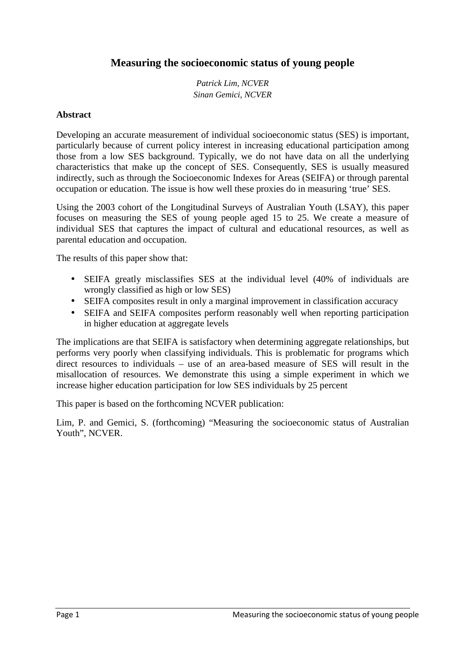# **Measuring the socioeconomic status of young people**

*Patrick Lim, NCVER Sinan Gemici, NCVER* 

### **Abstract**

Developing an accurate measurement of individual socioeconomic status (SES) is important, particularly because of current policy interest in increasing educational participation among those from a low SES background. Typically, we do not have data on all the underlying characteristics that make up the concept of SES. Consequently, SES is usually measured indirectly, such as through the Socioeconomic Indexes for Areas (SEIFA) or through parental occupation or education. The issue is how well these proxies do in measuring 'true' SES.

Using the 2003 cohort of the Longitudinal Surveys of Australian Youth (LSAY), this paper focuses on measuring the SES of young people aged 15 to 25. We create a measure of individual SES that captures the impact of cultural and educational resources, as well as parental education and occupation.

The results of this paper show that:

- SEIFA greatly misclassifies SES at the individual level (40% of individuals are wrongly classified as high or low SES)
- SEIFA composites result in only a marginal improvement in classification accuracy
- SEIFA and SEIFA composites perform reasonably well when reporting participation in higher education at aggregate levels

The implications are that SEIFA is satisfactory when determining aggregate relationships, but performs very poorly when classifying individuals. This is problematic for programs which direct resources to individuals – use of an area-based measure of SES will result in the misallocation of resources. We demonstrate this using a simple experiment in which we increase higher education participation for low SES individuals by 25 percent

This paper is based on the forthcoming NCVER publication:

Lim, P. and Gemici, S. (forthcoming) "Measuring the socioeconomic status of Australian Youth", NCVER.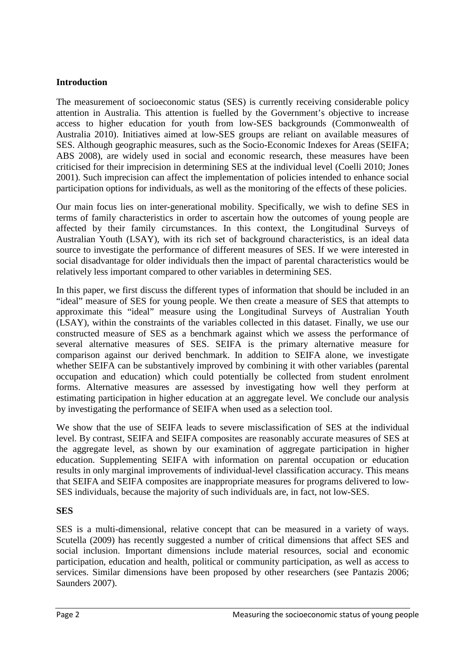## **Introduction**

The measurement of socioeconomic status (SES) is currently receiving considerable policy attention in Australia. This attention is fuelled by the Government's objective to increase access to higher education for youth from low-SES backgrounds (Commonwealth of Australia 2010). Initiatives aimed at low-SES groups are reliant on available measures of SES. Although geographic measures, such as the Socio-Economic Indexes for Areas (SEIFA; ABS 2008), are widely used in social and economic research, these measures have been criticised for their imprecision in determining SES at the individual level (Coelli 2010; Jones 2001). Such imprecision can affect the implementation of policies intended to enhance social participation options for individuals, as well as the monitoring of the effects of these policies.

Our main focus lies on inter-generational mobility. Specifically, we wish to define SES in terms of family characteristics in order to ascertain how the outcomes of young people are affected by their family circumstances. In this context, the Longitudinal Surveys of Australian Youth (LSAY), with its rich set of background characteristics, is an ideal data source to investigate the performance of different measures of SES. If we were interested in social disadvantage for older individuals then the impact of parental characteristics would be relatively less important compared to other variables in determining SES.

In this paper, we first discuss the different types of information that should be included in an "ideal" measure of SES for young people. We then create a measure of SES that attempts to approximate this "ideal" measure using the Longitudinal Surveys of Australian Youth (LSAY), within the constraints of the variables collected in this dataset. Finally, we use our constructed measure of SES as a benchmark against which we assess the performance of several alternative measures of SES. SEIFA is the primary alternative measure for comparison against our derived benchmark. In addition to SEIFA alone, we investigate whether SEIFA can be substantively improved by combining it with other variables (parental occupation and education) which could potentially be collected from student enrolment forms. Alternative measures are assessed by investigating how well they perform at estimating participation in higher education at an aggregate level. We conclude our analysis by investigating the performance of SEIFA when used as a selection tool.

We show that the use of SEIFA leads to severe misclassification of SES at the individual level. By contrast, SEIFA and SEIFA composites are reasonably accurate measures of SES at the aggregate level, as shown by our examination of aggregate participation in higher education. Supplementing SEIFA with information on parental occupation or education results in only marginal improvements of individual-level classification accuracy. This means that SEIFA and SEIFA composites are inappropriate measures for programs delivered to low-SES individuals, because the majority of such individuals are, in fact, not low-SES.

## **SES**

SES is a multi-dimensional, relative concept that can be measured in a variety of ways. Scutella (2009) has recently suggested a number of critical dimensions that affect SES and social inclusion. Important dimensions include material resources, social and economic participation, education and health, political or community participation, as well as access to services. Similar dimensions have been proposed by other researchers (see Pantazis 2006; Saunders 2007).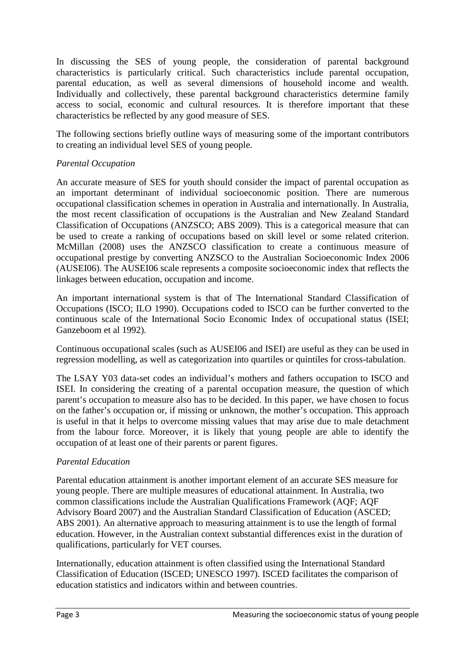In discussing the SES of young people, the consideration of parental background characteristics is particularly critical. Such characteristics include parental occupation, parental education, as well as several dimensions of household income and wealth. Individually and collectively, these parental background characteristics determine family access to social, economic and cultural resources. It is therefore important that these characteristics be reflected by any good measure of SES.

The following sections briefly outline ways of measuring some of the important contributors to creating an individual level SES of young people.

## *Parental Occupation*

An accurate measure of SES for youth should consider the impact of parental occupation as an important determinant of individual socioeconomic position. There are numerous occupational classification schemes in operation in Australia and internationally. In Australia, the most recent classification of occupations is the Australian and New Zealand Standard Classification of Occupations (ANZSCO; ABS 2009). This is a categorical measure that can be used to create a ranking of occupations based on skill level or some related criterion. McMillan (2008) uses the ANZSCO classification to create a continuous measure of occupational prestige by converting ANZSCO to the Australian Socioeconomic Index 2006 (AUSEI06). The AUSEI06 scale represents a composite socioeconomic index that reflects the linkages between education, occupation and income.

An important international system is that of The International Standard Classification of Occupations (ISCO; ILO 1990). Occupations coded to ISCO can be further converted to the continuous scale of the International Socio Economic Index of occupational status (ISEI; Ganzeboom et al 1992).

Continuous occupational scales (such as AUSEI06 and ISEI) are useful as they can be used in regression modelling, as well as categorization into quartiles or quintiles for cross-tabulation.

The LSAY Y03 data-set codes an individual's mothers and fathers occupation to ISCO and ISEI. In considering the creating of a parental occupation measure, the question of which parent's occupation to measure also has to be decided. In this paper, we have chosen to focus on the father's occupation or, if missing or unknown, the mother's occupation. This approach is useful in that it helps to overcome missing values that may arise due to male detachment from the labour force. Moreover, it is likely that young people are able to identify the occupation of at least one of their parents or parent figures.

# *Parental Education*

Parental education attainment is another important element of an accurate SES measure for young people. There are multiple measures of educational attainment. In Australia, two common classifications include the Australian Qualifications Framework (AQF; AQF Advisory Board 2007) and the Australian Standard Classification of Education (ASCED; ABS 2001). An alternative approach to measuring attainment is to use the length of formal education. However, in the Australian context substantial differences exist in the duration of qualifications, particularly for VET courses.

Internationally, education attainment is often classified using the International Standard Classification of Education (ISCED; UNESCO 1997). ISCED facilitates the comparison of education statistics and indicators within and between countries.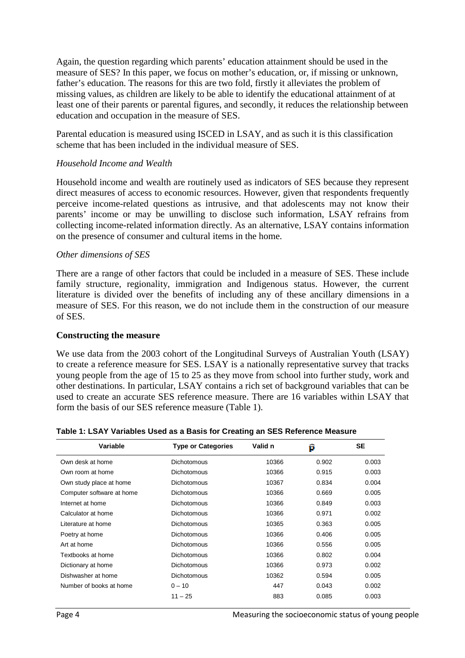Again, the question regarding which parents' education attainment should be used in the measure of SES? In this paper, we focus on mother's education, or, if missing or unknown, father's education. The reasons for this are two fold, firstly it alleviates the problem of missing values, as children are likely to be able to identify the educational attainment of at least one of their parents or parental figures, and secondly, it reduces the relationship between education and occupation in the measure of SES.

Parental education is measured using ISCED in LSAY, and as such it is this classification scheme that has been included in the individual measure of SES.

#### *Household Income and Wealth*

Household income and wealth are routinely used as indicators of SES because they represent direct measures of access to economic resources. However, given that respondents frequently perceive income-related questions as intrusive, and that adolescents may not know their parents' income or may be unwilling to disclose such information, LSAY refrains from collecting income-related information directly. As an alternative, LSAY contains information on the presence of consumer and cultural items in the home.

#### *Other dimensions of SES*

There are a range of other factors that could be included in a measure of SES. These include family structure, regionality, immigration and Indigenous status. However, the current literature is divided over the benefits of including any of these ancillary dimensions in a measure of SES. For this reason, we do not include them in the construction of our measure of SES.

#### **Constructing the measure**

We use data from the 2003 cohort of the Longitudinal Surveys of Australian Youth (LSAY) to create a reference measure for SES. LSAY is a nationally representative survey that tracks young people from the age of 15 to 25 as they move from school into further study, work and other destinations. In particular, LSAY contains a rich set of background variables that can be used to create an accurate SES reference measure. There are 16 variables within LSAY that form the basis of our SES reference measure (Table 1).

| Variable                  | <b>Type or Categories</b> | Valid n | p     | <b>SE</b> |
|---------------------------|---------------------------|---------|-------|-----------|
| Own desk at home          | <b>Dichotomous</b>        | 10366   | 0.902 | 0.003     |
| Own room at home          | <b>Dichotomous</b>        | 10366   | 0.915 | 0.003     |
| Own study place at home   | <b>Dichotomous</b>        | 10367   | 0.834 | 0.004     |
| Computer software at home | <b>Dichotomous</b>        | 10366   | 0.669 | 0.005     |
| Internet at home          | <b>Dichotomous</b>        | 10366   | 0.849 | 0.003     |
| Calculator at home        | <b>Dichotomous</b>        | 10366   | 0.971 | 0.002     |
| Literature at home        | <b>Dichotomous</b>        | 10365   | 0.363 | 0.005     |
| Poetry at home            | <b>Dichotomous</b>        | 10366   | 0.406 | 0.005     |
| Art at home               | <b>Dichotomous</b>        | 10366   | 0.556 | 0.005     |
| Textbooks at home         | <b>Dichotomous</b>        | 10366   | 0.802 | 0.004     |
| Dictionary at home        | <b>Dichotomous</b>        | 10366   | 0.973 | 0.002     |
| Dishwasher at home        | <b>Dichotomous</b>        | 10362   | 0.594 | 0.005     |
| Number of books at home   | $0 - 10$                  | 447     | 0.043 | 0.002     |
|                           | $11 - 25$                 | 883     | 0.085 | 0.003     |

#### **Table 1: LSAY Variables Used as a Basis for Creating an SES Reference Measure**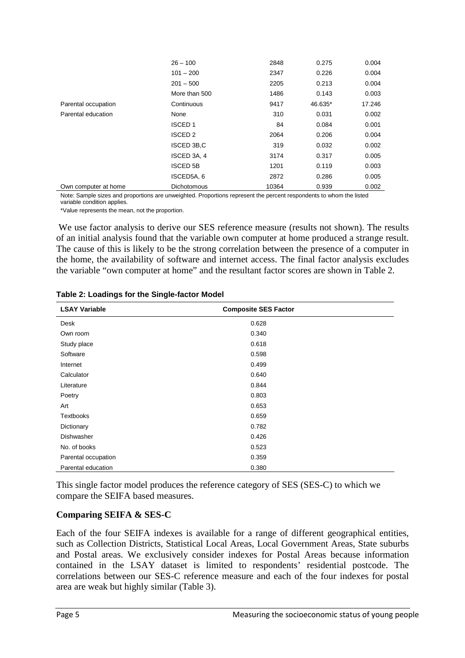|                      | $26 - 100$         | 2848  | 0.275   | 0.004  |
|----------------------|--------------------|-------|---------|--------|
|                      | $101 - 200$        | 2347  | 0.226   | 0.004  |
|                      | $201 - 500$        | 2205  | 0.213   | 0.004  |
|                      | More than 500      | 1486  | 0.143   | 0.003  |
| Parental occupation  | Continuous         | 9417  | 46.635* | 17.246 |
| Parental education   | None               | 310   | 0.031   | 0.002  |
|                      | <b>ISCED1</b>      | 84    | 0.084   | 0.001  |
|                      | ISCED <sub>2</sub> | 2064  | 0.206   | 0.004  |
|                      | ISCED 3B,C         | 319   | 0.032   | 0.002  |
|                      | ISCED 3A, 4        | 3174  | 0.317   | 0.005  |
|                      | <b>ISCED 5B</b>    | 1201  | 0.119   | 0.003  |
|                      | ISCED5A, 6         | 2872  | 0.286   | 0.005  |
| Own computer at home | <b>Dichotomous</b> | 10364 | 0.939   | 0.002  |

Note: Sample sizes and proportions are unweighted. Proportions represent the percent respondents to whom the listed variable condition applies.

\*Value represents the mean, not the proportion.

 We use factor analysis to derive our SES reference measure (results not shown). The results of an initial analysis found that the variable own computer at home produced a strange result. The cause of this is likely to be the strong correlation between the presence of a computer in the home, the availability of software and internet access. The final factor analysis excludes the variable "own computer at home" and the resultant factor scores are shown in Table 2.

| <b>LSAY Variable</b> | <b>Composite SES Factor</b> |  |
|----------------------|-----------------------------|--|
| Desk                 | 0.628                       |  |
| Own room             | 0.340                       |  |
| Study place          | 0.618                       |  |
| Software             | 0.598                       |  |
| Internet             | 0.499                       |  |
| Calculator           | 0.640                       |  |
| Literature           | 0.844                       |  |
| Poetry               | 0.803                       |  |
| Art                  | 0.653                       |  |
| <b>Textbooks</b>     | 0.659                       |  |
| Dictionary           | 0.782                       |  |
| Dishwasher           | 0.426                       |  |
| No. of books         | 0.523                       |  |
| Parental occupation  | 0.359                       |  |
| Parental education   | 0.380                       |  |

**Table 2: Loadings for the Single-factor Model** 

This single factor model produces the reference category of SES (SES-C) to which we compare the SEIFA based measures.

## **Comparing SEIFA & SES-C**

Each of the four SEIFA indexes is available for a range of different geographical entities, such as Collection Districts, Statistical Local Areas, Local Government Areas, State suburbs and Postal areas. We exclusively consider indexes for Postal Areas because information contained in the LSAY dataset is limited to respondents' residential postcode. The correlations between our SES-C reference measure and each of the four indexes for postal area are weak but highly similar (Table 3).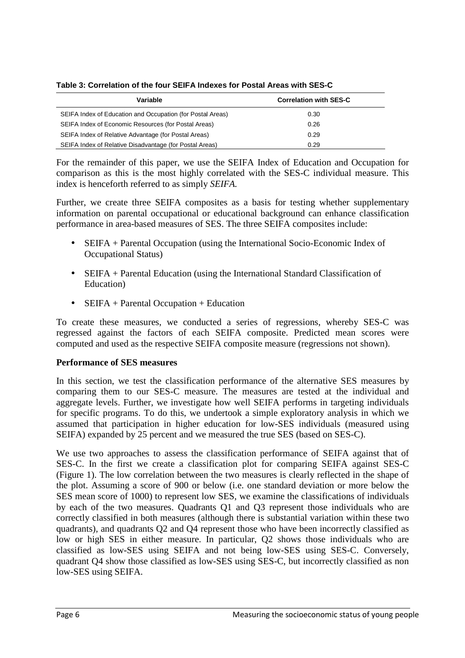| Variable                                                   | <b>Correlation with SES-C</b> |
|------------------------------------------------------------|-------------------------------|
| SEIFA Index of Education and Occupation (for Postal Areas) | 0.30                          |
| SEIFA Index of Economic Resources (for Postal Areas)       | 0.26                          |
| SEIFA Index of Relative Advantage (for Postal Areas)       | 0.29                          |
| SEIFA Index of Relative Disadvantage (for Postal Areas)    | 0.29                          |

**Table 3: Correlation of the four SEIFA Indexes for Postal Areas with SES-C** 

For the remainder of this paper, we use the SEIFA Index of Education and Occupation for comparison as this is the most highly correlated with the SES-C individual measure. This index is henceforth referred to as simply *SEIFA.*

Further, we create three SEIFA composites as a basis for testing whether supplementary information on parental occupational or educational background can enhance classification performance in area-based measures of SES. The three SEIFA composites include:

- SEIFA + Parental Occupation (using the International Socio-Economic Index of Occupational Status)
- SEIFA + Parental Education (using the International Standard Classification of Education)
- SEIFA + Parental Occupation + Education

To create these measures, we conducted a series of regressions, whereby SES-C was regressed against the factors of each SEIFA composite. Predicted mean scores were computed and used as the respective SEIFA composite measure (regressions not shown).

# **Performance of SES measures**

In this section, we test the classification performance of the alternative SES measures by comparing them to our SES-C measure. The measures are tested at the individual and aggregate levels. Further, we investigate how well SEIFA performs in targeting individuals for specific programs. To do this, we undertook a simple exploratory analysis in which we assumed that participation in higher education for low-SES individuals (measured using SEIFA) expanded by 25 percent and we measured the true SES (based on SES-C).

We use two approaches to assess the classification performance of SEIFA against that of SES-C. In the first we create a classification plot for comparing SEIFA against SES-C (Figure 1). The low correlation between the two measures is clearly reflected in the shape of the plot. Assuming a score of 900 or below (i.e. one standard deviation or more below the SES mean score of 1000) to represent low SES, we examine the classifications of individuals by each of the two measures. Quadrants Q1 and Q3 represent those individuals who are correctly classified in both measures (although there is substantial variation within these two quadrants), and quadrants Q2 and Q4 represent those who have been incorrectly classified as low or high SES in either measure. In particular, Q2 shows those individuals who are classified as low-SES using SEIFA and not being low-SES using SES-C. Conversely, quadrant Q4 show those classified as low-SES using SES-C, but incorrectly classified as non low-SES using SEIFA.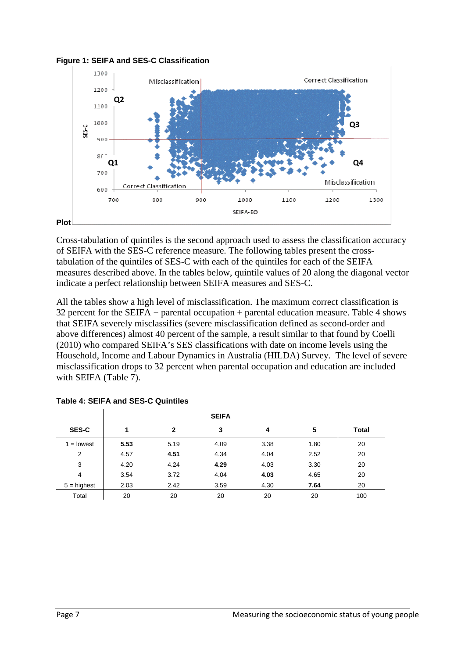



Cross-tabulation of quintiles is the second approach used to assess the classification accuracy of SEIFA with the SES-C reference measure. The following tables present the crosstabulation of the quintiles of SES-C with each of the quintiles for each of the SEIFA measures described above. In the tables below, quintile values of 20 along the diagonal vector indicate a perfect relationship between SEIFA measures and SES-C.

All the tables show a high level of misclassification. The maximum correct classification is 32 percent for the SEIFA + parental occupation + parental education measure. Table 4 shows that SEIFA severely misclassifies (severe misclassification defined as second-order and above differences) almost 40 percent of the sample, a result similar to that found by Coelli (2010) who compared SEIFA's SES classifications with date on income levels using the Household, Income and Labour Dynamics in Australia (HILDA) Survey. The level of severe misclassification drops to 32 percent when parental occupation and education are included with SEIFA (Table 7).

| <b>SES-C</b>  | 1    | $\mathbf{2}$ | 3    | 4    | 5    | Total |
|---------------|------|--------------|------|------|------|-------|
| $1 =$ lowest  | 5.53 | 5.19         | 4.09 | 3.38 | 1.80 | 20    |
| 2             | 4.57 | 4.51         | 4.34 | 4.04 | 2.52 | 20    |
| 3             | 4.20 | 4.24         | 4.29 | 4.03 | 3.30 | 20    |
| 4             | 3.54 | 3.72         | 4.04 | 4.03 | 4.65 | 20    |
| $5 =$ highest | 2.03 | 2.42         | 3.59 | 4.30 | 7.64 | 20    |
| Total         | 20   | 20           | 20   | 20   | 20   | 100   |

**Table 4: SEIFA and SES-C Quintiles**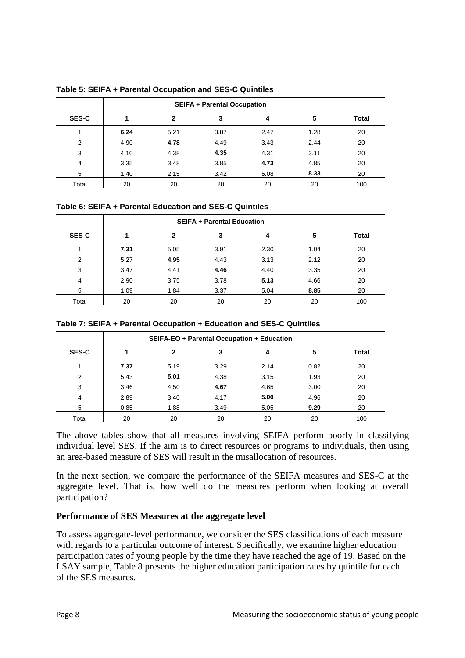|              | <b>SEIFA + Parental Occupation</b> |              |      |      |      |       |  |
|--------------|------------------------------------|--------------|------|------|------|-------|--|
| <b>SES-C</b> |                                    | $\mathbf{2}$ | 3    | 4    | 5    | Total |  |
| 1            | 6.24                               | 5.21         | 3.87 | 2.47 | 1.28 | 20    |  |
| 2            | 4.90                               | 4.78         | 4.49 | 3.43 | 2.44 | 20    |  |
| 3            | 4.10                               | 4.38         | 4.35 | 4.31 | 3.11 | 20    |  |
| 4            | 3.35                               | 3.48         | 3.85 | 4.73 | 4.85 | 20    |  |
| 5            | 1.40                               | 2.15         | 3.42 | 5.08 | 8.33 | 20    |  |
| Total        | 20                                 | 20           | 20   | 20   | 20   | 100   |  |

**Table 5: SEIFA + Parental Occupation and SES-C Quintiles** 

|  |  | Table 6: SEIFA + Parental Education and SES-C Quintiles |  |  |
|--|--|---------------------------------------------------------|--|--|
|  |  |                                                         |  |  |

| <b>SES-C</b>   | 1    | $\mathbf{2}$ | 3    | 4    | 5    | Total |
|----------------|------|--------------|------|------|------|-------|
|                | 7.31 | 5.05         | 3.91 | 2.30 | 1.04 | 20    |
| $\overline{2}$ | 5.27 | 4.95         | 4.43 | 3.13 | 2.12 | 20    |
| 3              | 3.47 | 4.41         | 4.46 | 4.40 | 3.35 | 20    |
| 4              | 2.90 | 3.75         | 3.78 | 5.13 | 4.66 | 20    |
| 5              | 1.09 | 1.84         | 3.37 | 5.04 | 8.85 | 20    |
| Total          | 20   | 20           | 20   | 20   | 20   | 100   |

| Table 7: SEIFA + Parental Occupation + Education and SES-C Quintiles |  |  |  |
|----------------------------------------------------------------------|--|--|--|
|----------------------------------------------------------------------|--|--|--|

|              |      |             | SEIFA-EO + Parental Occupation + Education |      |      |       |
|--------------|------|-------------|--------------------------------------------|------|------|-------|
| <b>SES-C</b> | 1    | $\mathbf 2$ | 3                                          | 4    | 5    | Total |
|              | 7.37 | 5.19        | 3.29                                       | 2.14 | 0.82 | 20    |
| 2            | 5.43 | 5.01        | 4.38                                       | 3.15 | 1.93 | 20    |
| 3            | 3.46 | 4.50        | 4.67                                       | 4.65 | 3.00 | 20    |
| 4            | 2.89 | 3.40        | 4.17                                       | 5.00 | 4.96 | 20    |
| 5            | 0.85 | 1.88        | 3.49                                       | 5.05 | 9.29 | 20    |
| Total        | 20   | 20          | 20                                         | 20   | 20   | 100   |

The above tables show that all measures involving SEIFA perform poorly in classifying individual level SES. If the aim is to direct resources or programs to individuals, then using an area-based measure of SES will result in the misallocation of resources.

In the next section, we compare the performance of the SEIFA measures and SES-C at the aggregate level. That is, how well do the measures perform when looking at overall participation?

## **Performance of SES Measures at the aggregate level**

To assess aggregate-level performance, we consider the SES classifications of each measure with regards to a particular outcome of interest. Specifically, we examine higher education participation rates of young people by the time they have reached the age of 19. Based on the LSAY sample, Table 8 presents the higher education participation rates by quintile for each of the SES measures.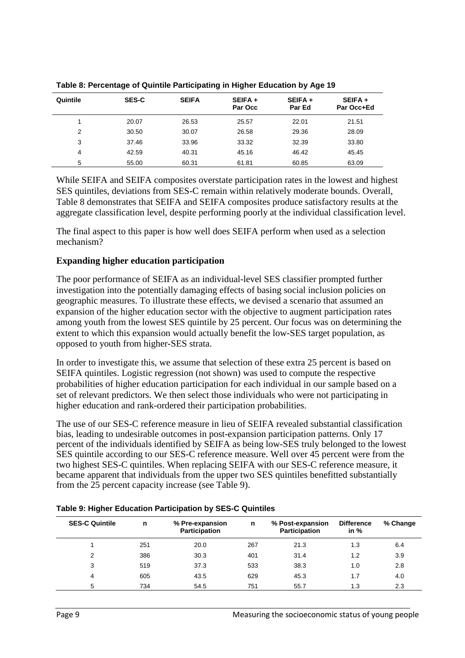| Quintile | <b>SES-C</b> | <b>SEIFA</b> | SEIFA +<br>Par Occ | SEIFA +<br>Par Ed | SEIFA +<br>Par Occ+Ed |
|----------|--------------|--------------|--------------------|-------------------|-----------------------|
|          | 20.07        | 26.53        | 25.57              | 22.01             | 21.51                 |
| 2        | 30.50        | 30.07        | 26.58              | 29.36             | 28.09                 |
| 3        | 37.46        | 33.96        | 33.32              | 32.39             | 33.80                 |
| 4        | 42.59        | 40.31        | 45.16              | 46.42             | 45.45                 |
| 5        | 55.00        | 60.31        | 61.81              | 60.85             | 63.09                 |

**Table 8: Percentage of Quintile Participating in Higher Education by Age 19** 

While SEIFA and SEIFA composites overstate participation rates in the lowest and highest SES quintiles, deviations from SES-C remain within relatively moderate bounds. Overall, Table 8 demonstrates that SEIFA and SEIFA composites produce satisfactory results at the aggregate classification level, despite performing poorly at the individual classification level.

The final aspect to this paper is how well does SEIFA perform when used as a selection mechanism?

## **Expanding higher education participation**

The poor performance of SEIFA as an individual-level SES classifier prompted further investigation into the potentially damaging effects of basing social inclusion policies on geographic measures. To illustrate these effects, we devised a scenario that assumed an expansion of the higher education sector with the objective to augment participation rates among youth from the lowest SES quintile by 25 percent. Our focus was on determining the extent to which this expansion would actually benefit the low-SES target population, as opposed to youth from higher-SES strata.

In order to investigate this, we assume that selection of these extra 25 percent is based on SEIFA quintiles. Logistic regression (not shown) was used to compute the respective probabilities of higher education participation for each individual in our sample based on a set of relevant predictors. We then select those individuals who were not participating in higher education and rank-ordered their participation probabilities.

The use of our SES-C reference measure in lieu of SEIFA revealed substantial classification bias, leading to undesirable outcomes in post-expansion participation patterns. Only 17 percent of the individuals identified by SEIFA as being low-SES truly belonged to the lowest SES quintile according to our SES-C reference measure. Well over 45 percent were from the two highest SES-C quintiles. When replacing SEIFA with our SES-C reference measure, it became apparent that individuals from the upper two SES quintiles benefitted substantially from the 25 percent capacity increase (see Table 9).

| <b>SES-C Quintile</b> | n   | % Pre-expansion<br>n<br><b>Participation</b> |     | % Post-expansion<br><b>Participation</b> | <b>Difference</b><br>in $%$ | % Change |  |
|-----------------------|-----|----------------------------------------------|-----|------------------------------------------|-----------------------------|----------|--|
|                       | 251 | 20.0                                         | 267 | 21.3                                     | 1.3                         | 6.4      |  |
| 2                     | 386 | 30.3                                         | 401 | 31.4                                     | 1.2                         | 3.9      |  |
| 3                     | 519 | 37.3                                         | 533 | 38.3                                     | 1.0                         | 2.8      |  |
| 4                     | 605 | 43.5                                         | 629 | 45.3                                     | 1.7                         | 4.0      |  |
| 5                     | 734 | 54.5                                         | 751 | 55.7                                     | 1.3                         | 2.3      |  |

**Table 9: Higher Education Participation by SES-C Quintiles**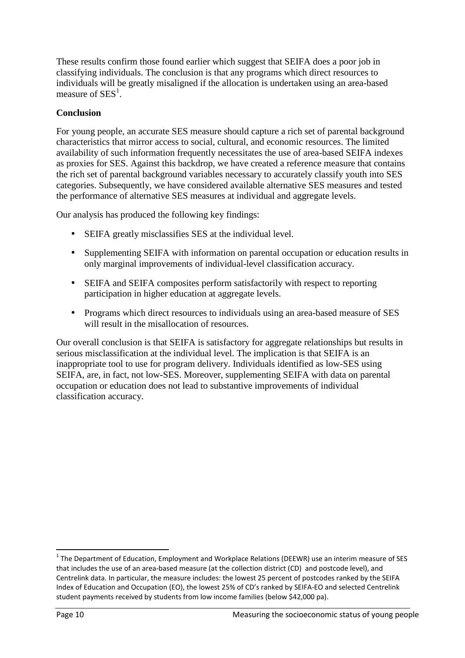These results confirm those found earlier which suggest that SEIFA does a poor job in classifying individuals. The conclusion is that any programs which direct resources to individuals will be greatly misaligned if the allocation is undertaken using an area-based measure of  $SES<sup>1</sup>$ .

## **Conclusion**

For young people, an accurate SES measure should capture a rich set of parental background characteristics that mirror access to social, cultural, and economic resources. The limited availability of such information frequently necessitates the use of area-based SEIFA indexes as proxies for SES. Against this backdrop, we have created a reference measure that contains the rich set of parental background variables necessary to accurately classify youth into SES categories. Subsequently, we have considered available alternative SES measures and tested the performance of alternative SES measures at individual and aggregate levels.

Our analysis has produced the following key findings:

- SEIFA greatly misclassifies SES at the individual level.
- Supplementing SEIFA with information on parental occupation or education results in only marginal improvements of individual-level classification accuracy.
- SEIFA and SEIFA composites perform satisfactorily with respect to reporting participation in higher education at aggregate levels.
- Programs which direct resources to individuals using an area-based measure of SES will result in the misallocation of resources.

Our overall conclusion is that SEIFA is satisfactory for aggregate relationships but results in serious misclassification at the individual level. The implication is that SEIFA is an inappropriate tool to use for program delivery. Individuals identified as low-SES using SEIFA, are, in fact, not low-SES. Moreover, supplementing SEIFA with data on parental occupation or education does not lead to substantive improvements of individual classification accuracy.

 $\overline{a}$ 

 $^1$  The Department of Education, Employment and Workplace Relations (DEEWR) use an interim measure of SES that includes the use of an area-based measure (at the collection district (CD) and postcode level), and Centrelink data. In particular, the measure includes: the lowest 25 percent of postcodes ranked by the SEIFA Index of Education and Occupation (EO), the lowest 25% of CD's ranked by SEIFA-EO and selected Centrelink student payments received by students from low income families (below \$42,000 pa).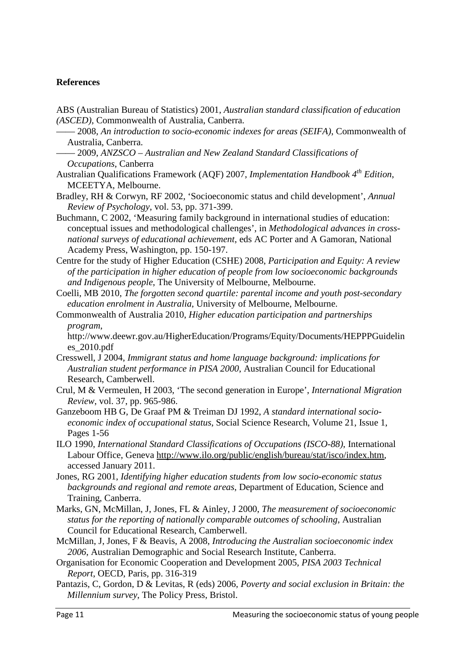### **References**

- ABS (Australian Bureau of Statistics) 2001, *Australian standard classification of education (ASCED)*, Commonwealth of Australia, Canberra.
	- —— 2008, *An introduction to socio-economic indexes for areas (SEIFA)*, Commonwealth of Australia, Canberra.
- —— 2009, *ANZSCO Australian and New Zealand Standard Classifications of Occupations*, Canberra
- Australian Qualifications Framework (AQF) 2007, *Implementation Handbook 4th Edition*, MCEETYA, Melbourne.
- Bradley, RH & Corwyn, RF 2002, 'Socioeconomic status and child development', *Annual Review of Psychology*, vol. 53, pp. 371-399.
- Buchmann, C 2002, 'Measuring family background in international studies of education: conceptual issues and methodological challenges', in *Methodological advances in crossnational surveys of educational achievement*, eds AC Porter and A Gamoran, National Academy Press, Washington, pp. 150-197.
- Centre for the study of Higher Education (CSHE) 2008, *Participation and Equity: A review of the participation in higher education of people from low socioeconomic backgrounds and Indigenous people*, The University of Melbourne, Melbourne.
- Coelli, MB 2010, *The forgotten second quartile: parental income and youth post-secondary education enrolment in Australia*, University of Melbourne, Melbourne.
- Commonwealth of Australia 2010, *Higher education participation and partnerships program*,
	- http://www.deewr.gov.au/HigherEducation/Programs/Equity/Documents/HEPPPGuidelin es\_2010.pdf
- Cresswell, J 2004, *Immigrant status and home language background: implications for Australian student performance in PISA 2000*, Australian Council for Educational Research, Camberwell.
- Crul, M & Vermeulen, H 2003, 'The second generation in Europe', *International Migration Review*, vol. 37, pp. 965-986.
- Ganzeboom HB G, De Graaf PM & Treiman DJ 1992, *A standard international socioeconomic index of occupational status*, Social Science Research, Volume 21, Issue 1, Pages 1-56
- ILO 1990, *International Standard Classifications of Occupations (ISCO-88)*, International Labour Office, Geneva http://www.ilo.org/public/english/bureau/stat/isco/index.htm, accessed January 2011.
- Jones, RG 2001, *Identifying higher education students from low socio-economic status backgrounds and regional and remote areas*, Department of Education, Science and Training, Canberra.
- Marks, GN, McMillan, J, Jones, FL & Ainley, J 2000, *The measurement of socioeconomic status for the reporting of nationally comparable outcomes of schooling*, Australian Council for Educational Research, Camberwell.
- McMillan, J, Jones, F & Beavis, A 2008, *Introducing the Australian socioeconomic index 2006*, Australian Demographic and Social Research Institute, Canberra.
- Organisation for Economic Cooperation and Development 2005, *PISA 2003 Technical Report*, OECD, Paris, pp. 316-319
- Pantazis, C, Gordon, D & Levitas, R (eds) 2006, *Poverty and social exclusion in Britain: the Millennium survey*, The Policy Press, Bristol.